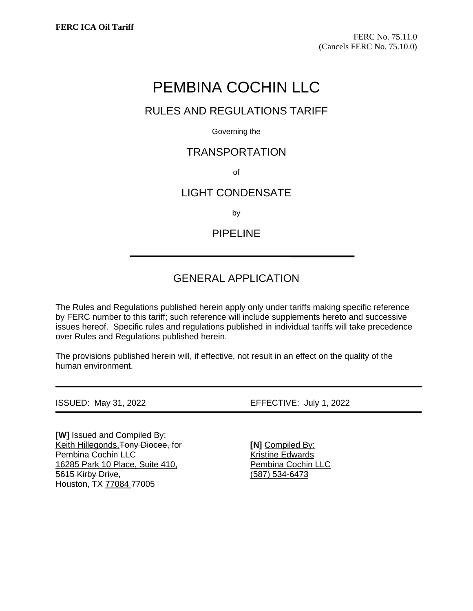# PEMBINA COCHIN LLC

### RULES AND REGULATIONS TARIFF

Governing the

### TRANSPORTATION

of

### LIGHT CONDENSATE

by

PIPELINE

## GENERAL APPLICATION

The Rules and Regulations published herein apply only under tariffs making specific reference by FERC number to this tariff; such reference will include supplements hereto and successive issues hereof. Specific rules and regulations published in individual tariffs will take precedence over Rules and Regulations published herein.

The provisions published herein will, if effective, not result in an effect on the quality of the human environment.

**[W]** Issued and Compiled By: Keith Hillegonds,Tony Diocee, for Pembina Cochin LLC 16285 Park 10 Place, Suite 410, 5615 Kirby Drive, Houston, TX 77084 77005

ISSUED: May 31, 2022 EFFECTIVE: July 1, 2022

**[N]** Compiled By: Kristine Edwards Pembina Cochin LLC (587) 534-6473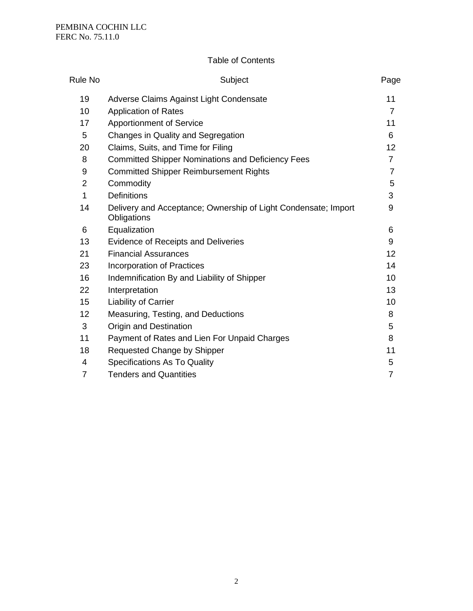### Table of Contents

| <b>Rule No</b> | Subject                                                                       | Page           |
|----------------|-------------------------------------------------------------------------------|----------------|
| 19             | Adverse Claims Against Light Condensate                                       | 11             |
| 10             | <b>Application of Rates</b>                                                   | 7              |
| 17             | <b>Apportionment of Service</b>                                               | 11             |
| 5              | Changes in Quality and Segregation                                            | 6              |
| 20             | Claims, Suits, and Time for Filing                                            | 12             |
| 8              | <b>Committed Shipper Nominations and Deficiency Fees</b>                      | 7              |
| 9              | <b>Committed Shipper Reimbursement Rights</b>                                 | 7              |
| $\overline{2}$ | Commodity                                                                     | 5              |
| 1              | <b>Definitions</b>                                                            | 3              |
| 14             | Delivery and Acceptance; Ownership of Light Condensate; Import<br>Obligations | 9              |
| 6              | Equalization                                                                  | 6              |
| 13             | <b>Evidence of Receipts and Deliveries</b>                                    | 9              |
| 21             | <b>Financial Assurances</b>                                                   | 12             |
| 23             | Incorporation of Practices                                                    | 14             |
| 16             | Indemnification By and Liability of Shipper                                   | 10             |
| 22             | Interpretation                                                                | 13             |
| 15             | Liability of Carrier                                                          | 10             |
| 12             | Measuring, Testing, and Deductions                                            | 8              |
| 3              | Origin and Destination                                                        | 5              |
| 11             | Payment of Rates and Lien For Unpaid Charges                                  | 8              |
| 18             | Requested Change by Shipper                                                   | 11             |
| 4              | <b>Specifications As To Quality</b>                                           | 5              |
| $\overline{7}$ | <b>Tenders and Quantities</b>                                                 | $\overline{7}$ |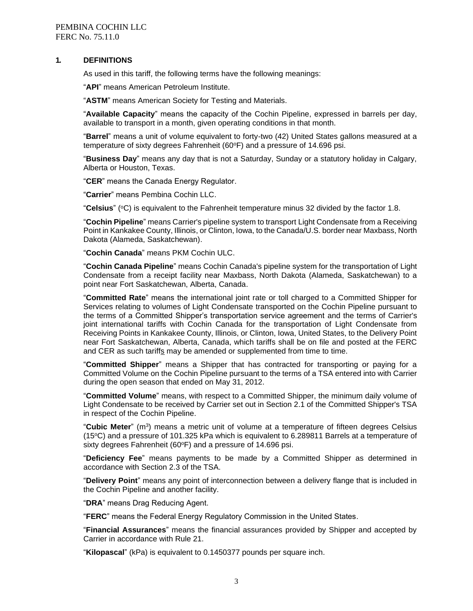#### **1. DEFINITIONS**

As used in this tariff, the following terms have the following meanings:

"**API**" means American Petroleum Institute.

"**ASTM**" means American Society for Testing and Materials.

"**Available Capacity**" means the capacity of the Cochin Pipeline, expressed in barrels per day, available to transport in a month, given operating conditions in that month.

"**Barrel**" means a unit of volume equivalent to forty-two (42) United States gallons measured at a temperature of sixty degrees Fahrenheit  $(60^{\circ}F)$  and a pressure of 14.696 psi.

"**Business Day**" means any day that is not a Saturday, Sunday or a statutory holiday in Calgary, Alberta or Houston, Texas.

"**CER**" means the Canada Energy Regulator.

"**Carrier**" means Pembina Cochin LLC.

"Celsius" (°C) is equivalent to the Fahrenheit temperature minus 32 divided by the factor 1.8.

"**Cochin Pipeline**" means Carrier's pipeline system to transport Light Condensate from a Receiving Point in Kankakee County, Illinois, or Clinton, Iowa, to the Canada/U.S. border near Maxbass, North Dakota (Alameda, Saskatchewan).

"**Cochin Canada**" means PKM Cochin ULC.

"**Cochin Canada Pipeline**" means Cochin Canada's pipeline system for the transportation of Light Condensate from a receipt facility near Maxbass, North Dakota (Alameda, Saskatchewan) to a point near Fort Saskatchewan, Alberta, Canada.

"**Committed Rate**" means the international joint rate or toll charged to a Committed Shipper for Services relating to volumes of Light Condensate transported on the Cochin Pipeline pursuant to the terms of a Committed Shipper's transportation service agreement and the terms of Carrier's joint international tariffs with Cochin Canada for the transportation of Light Condensate from Receiving Points in Kankakee County, Illinois, or Clinton, Iowa, United States, to the Delivery Point near Fort Saskatchewan, Alberta, Canada, which tariffs shall be on file and posted at the FERC and CER as such tariffs may be amended or supplemented from time to time.

"**Committed Shipper**" means a Shipper that has contracted for transporting or paying for a Committed Volume on the Cochin Pipeline pursuant to the terms of a TSA entered into with Carrier during the open season that ended on May 31, 2012.

"**Committed Volume**" means, with respect to a Committed Shipper, the minimum daily volume of Light Condensate to be received by Carrier set out in Section 2.1 of the Committed Shipper's TSA in respect of the Cochin Pipeline.

"**Cubic Meter**" (m<sup>3</sup> ) means a metric unit of volume at a temperature of fifteen degrees Celsius (15 $\degree$ C) and a pressure of 101.325 kPa which is equivalent to 6.289811 Barrels at a temperature of sixty degrees Fahrenheit (60°F) and a pressure of 14.696 psi.

"**Deficiency Fee**" means payments to be made by a Committed Shipper as determined in accordance with Section 2.3 of the TSA.

"**Delivery Point**" means any point of interconnection between a delivery flange that is included in the Cochin Pipeline and another facility.

"**DRA**" means Drag Reducing Agent.

"**FERC**" means the Federal Energy Regulatory Commission in the United States.

"**Financial Assurances**" means the financial assurances provided by Shipper and accepted by Carrier in accordance with Rule 21.

"**Kilopascal**" (kPa) is equivalent to 0.1450377 pounds per square inch.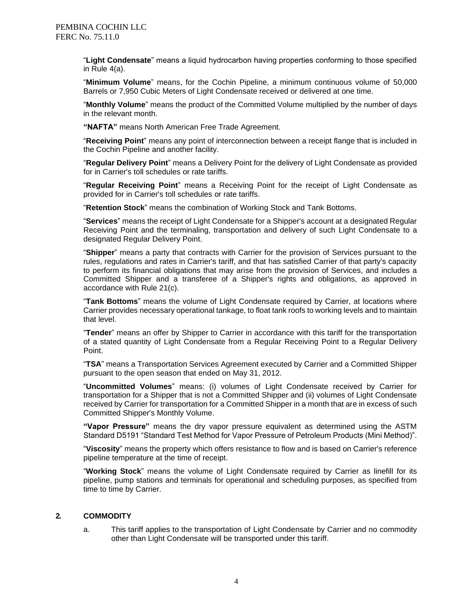"**Light Condensate**" means a liquid hydrocarbon having properties conforming to those specified in Rule 4(a).

"**Minimum Volume**" means, for the Cochin Pipeline, a minimum continuous volume of 50,000 Barrels or 7,950 Cubic Meters of Light Condensate received or delivered at one time.

"**Monthly Volume**" means the product of the Committed Volume multiplied by the number of days in the relevant month.

**"NAFTA"** means North American Free Trade Agreement.

"**Receiving Point**" means any point of interconnection between a receipt flange that is included in the Cochin Pipeline and another facility.

"**Regular Delivery Point**" means a Delivery Point for the delivery of Light Condensate as provided for in Carrier's toll schedules or rate tariffs.

"**Regular Receiving Point**" means a Receiving Point for the receipt of Light Condensate as provided for in Carrier's toll schedules or rate tariffs.

"**Retention Stock**" means the combination of Working Stock and Tank Bottoms.

"**Services**" means the receipt of Light Condensate for a Shipper's account at a designated Regular Receiving Point and the terminaling, transportation and delivery of such Light Condensate to a designated Regular Delivery Point.

"**Shipper**" means a party that contracts with Carrier for the provision of Services pursuant to the rules, regulations and rates in Carrier's tariff, and that has satisfied Carrier of that party's capacity to perform its financial obligations that may arise from the provision of Services, and includes a Committed Shipper and a transferee of a Shipper's rights and obligations, as approved in accordance with Rule 21(c).

"**Tank Bottoms**" means the volume of Light Condensate required by Carrier, at locations where Carrier provides necessary operational tankage, to float tank roofs to working levels and to maintain that level.

"**Tender**" means an offer by Shipper to Carrier in accordance with this tariff for the transportation of a stated quantity of Light Condensate from a Regular Receiving Point to a Regular Delivery Point.

"**TSA**" means a Transportation Services Agreement executed by Carrier and a Committed Shipper pursuant to the open season that ended on May 31, 2012.

"**Uncommitted Volumes**" means: (i) volumes of Light Condensate received by Carrier for transportation for a Shipper that is not a Committed Shipper and (ii) volumes of Light Condensate received by Carrier for transportation for a Committed Shipper in a month that are in excess of such Committed Shipper's Monthly Volume.

**"Vapor Pressure"** means the dry vapor pressure equivalent as determined using the ASTM Standard D5191 "Standard Test Method for Vapor Pressure of Petroleum Products (Mini Method)".

"**Viscosity**" means the property which offers resistance to flow and is based on Carrier's reference pipeline temperature at the time of receipt.

"**Working Stock**" means the volume of Light Condensate required by Carrier as linefill for its pipeline, pump stations and terminals for operational and scheduling purposes, as specified from time to time by Carrier.

#### **2. COMMODITY**

a. This tariff applies to the transportation of Light Condensate by Carrier and no commodity other than Light Condensate will be transported under this tariff.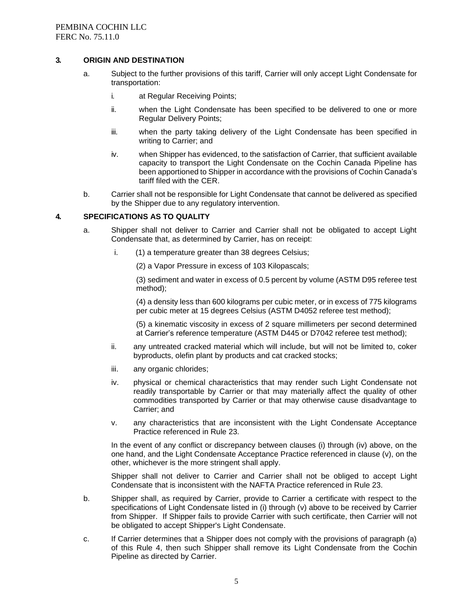#### **3. ORIGIN AND DESTINATION**

- a. Subject to the further provisions of this tariff, Carrier will only accept Light Condensate for transportation:
	- i. at Regular Receiving Points;
	- ii. when the Light Condensate has been specified to be delivered to one or more Regular Delivery Points;
	- iii. when the party taking delivery of the Light Condensate has been specified in writing to Carrier; and
	- iv. when Shipper has evidenced, to the satisfaction of Carrier, that sufficient available capacity to transport the Light Condensate on the Cochin Canada Pipeline has been apportioned to Shipper in accordance with the provisions of Cochin Canada's tariff filed with the CER.
- b. Carrier shall not be responsible for Light Condensate that cannot be delivered as specified by the Shipper due to any regulatory intervention.

#### **4. SPECIFICATIONS AS TO QUALITY**

- a. Shipper shall not deliver to Carrier and Carrier shall not be obligated to accept Light Condensate that, as determined by Carrier, has on receipt:
	- i. (1) a temperature greater than 38 degrees Celsius;
		- (2) a Vapor Pressure in excess of 103 Kilopascals;

(3) sediment and water in excess of 0.5 percent by volume (ASTM D95 referee test method);

(4) a density less than 600 kilograms per cubic meter, or in excess of 775 kilograms per cubic meter at 15 degrees Celsius (ASTM D4052 referee test method);

(5) a kinematic viscosity in excess of 2 square millimeters per second determined at Carrier's reference temperature (ASTM D445 or D7042 referee test method);

- ii. any untreated cracked material which will include, but will not be limited to, coker byproducts, olefin plant by products and cat cracked stocks;
- iii. any organic chlorides;
- iv. physical or chemical characteristics that may render such Light Condensate not readily transportable by Carrier or that may materially affect the quality of other commodities transported by Carrier or that may otherwise cause disadvantage to Carrier; and
- v. any characteristics that are inconsistent with the Light Condensate Acceptance Practice referenced in Rule 23.

In the event of any conflict or discrepancy between clauses (i) through (iv) above, on the one hand, and the Light Condensate Acceptance Practice referenced in clause (v), on the other, whichever is the more stringent shall apply.

Shipper shall not deliver to Carrier and Carrier shall not be obliged to accept Light Condensate that is inconsistent with the NAFTA Practice referenced in Rule 23.

- b. Shipper shall, as required by Carrier, provide to Carrier a certificate with respect to the specifications of Light Condensate listed in (i) through (v) above to be received by Carrier from Shipper. If Shipper fails to provide Carrier with such certificate, then Carrier will not be obligated to accept Shipper's Light Condensate.
- c. If Carrier determines that a Shipper does not comply with the provisions of paragraph (a) of this Rule 4, then such Shipper shall remove its Light Condensate from the Cochin Pipeline as directed by Carrier.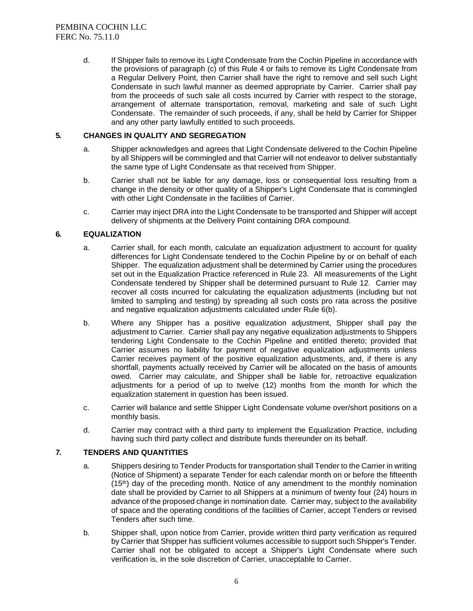d. If Shipper fails to remove its Light Condensate from the Cochin Pipeline in accordance with the provisions of paragraph (c) of this Rule 4 or fails to remove its Light Condensate from a Regular Delivery Point, then Carrier shall have the right to remove and sell such Light Condensate in such lawful manner as deemed appropriate by Carrier. Carrier shall pay from the proceeds of such sale all costs incurred by Carrier with respect to the storage, arrangement of alternate transportation, removal, marketing and sale of such Light Condensate. The remainder of such proceeds, if any, shall be held by Carrier for Shipper and any other party lawfully entitled to such proceeds.

#### **5. CHANGES IN QUALITY AND SEGREGATION**

- a. Shipper acknowledges and agrees that Light Condensate delivered to the Cochin Pipeline by all Shippers will be commingled and that Carrier will not endeavor to deliver substantially the same type of Light Condensate as that received from Shipper.
- b. Carrier shall not be liable for any damage, loss or consequential loss resulting from a change in the density or other quality of a Shipper's Light Condensate that is commingled with other Light Condensate in the facilities of Carrier.
- c. Carrier may inject DRA into the Light Condensate to be transported and Shipper will accept delivery of shipments at the Delivery Point containing DRA compound.

#### **6. EQUALIZATION**

- a. Carrier shall, for each month, calculate an equalization adjustment to account for quality differences for Light Condensate tendered to the Cochin Pipeline by or on behalf of each Shipper. The equalization adjustment shall be determined by Carrier using the procedures set out in the Equalization Practice referenced in Rule 23. All measurements of the Light Condensate tendered by Shipper shall be determined pursuant to Rule 12. Carrier may recover all costs incurred for calculating the equalization adjustments (including but not limited to sampling and testing) by spreading all such costs pro rata across the positive and negative equalization adjustments calculated under Rule 6(b).
- b. Where any Shipper has a positive equalization adjustment, Shipper shall pay the adjustment to Carrier. Carrier shall pay any negative equalization adjustments to Shippers tendering Light Condensate to the Cochin Pipeline and entitled thereto; provided that Carrier assumes no liability for payment of negative equalization adjustments unless Carrier receives payment of the positive equalization adjustments, and, if there is any shortfall, payments actually received by Carrier will be allocated on the basis of amounts owed. Carrier may calculate, and Shipper shall be liable for, retroactive equalization adjustments for a period of up to twelve (12) months from the month for which the equalization statement in question has been issued.
- c. Carrier will balance and settle Shipper Light Condensate volume over/short positions on a monthly basis.
- d. Carrier may contract with a third party to implement the Equalization Practice, including having such third party collect and distribute funds thereunder on its behalf.

#### **7. TENDERS AND QUANTITIES**

- a. Shippers desiring to Tender Products for transportation shall Tender to the Carrier in writing (Notice of Shipment) a separate Tender for each calendar month on or before the fifteenth  $(15<sup>th</sup>)$  day of the preceding month. Notice of any amendment to the monthly nomination date shall be provided by Carrier to all Shippers at a minimum of twenty four (24) hours in advance of the proposed change in nomination date. Carrier may, subject to the availability of space and the operating conditions of the facilities of Carrier, accept Tenders or revised Tenders after such time.
- b. Shipper shall, upon notice from Carrier, provide written third party verification as required by Carrier that Shipper has sufficient volumes accessible to support such Shipper's Tender. Carrier shall not be obligated to accept a Shipper's Light Condensate where such verification is, in the sole discretion of Carrier, unacceptable to Carrier.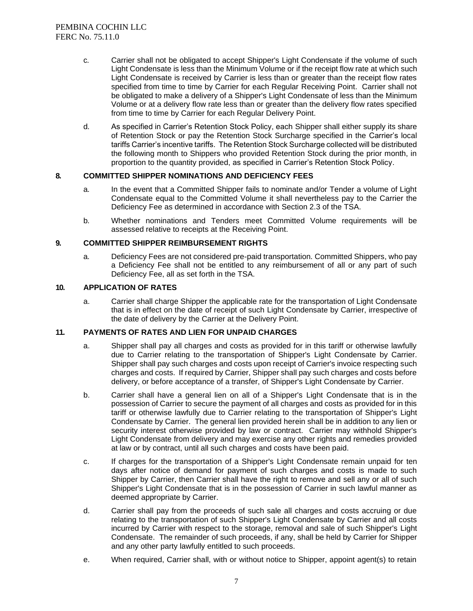- c. Carrier shall not be obligated to accept Shipper's Light Condensate if the volume of such Light Condensate is less than the Minimum Volume or if the receipt flow rate at which such Light Condensate is received by Carrier is less than or greater than the receipt flow rates specified from time to time by Carrier for each Regular Receiving Point. Carrier shall not be obligated to make a delivery of a Shipper's Light Condensate of less than the Minimum Volume or at a delivery flow rate less than or greater than the delivery flow rates specified from time to time by Carrier for each Regular Delivery Point.
- d. As specified in Carrier's Retention Stock Policy, each Shipper shall either supply its share of Retention Stock or pay the Retention Stock Surcharge specified in the Carrier's local tariffs Carrier's incentive tariffs. The Retention Stock Surcharge collected will be distributed the following month to Shippers who provided Retention Stock during the prior month, in proportion to the quantity provided, as specified in Carrier's Retention Stock Policy.

#### **8. COMMITTED SHIPPER NOMINATIONS AND DEFICIENCY FEES**

- a. In the event that a Committed Shipper fails to nominate and/or Tender a volume of Light Condensate equal to the Committed Volume it shall nevertheless pay to the Carrier the Deficiency Fee as determined in accordance with Section 2.3 of the TSA.
- b. Whether nominations and Tenders meet Committed Volume requirements will be assessed relative to receipts at the Receiving Point.

#### **9. COMMITTED SHIPPER REIMBURSEMENT RIGHTS**

a. Deficiency Fees are not considered pre-paid transportation. Committed Shippers, who pay a Deficiency Fee shall not be entitled to any reimbursement of all or any part of such Deficiency Fee, all as set forth in the TSA.

#### **10. APPLICATION OF RATES**

a. Carrier shall charge Shipper the applicable rate for the transportation of Light Condensate that is in effect on the date of receipt of such Light Condensate by Carrier, irrespective of the date of delivery by the Carrier at the Delivery Point.

#### **11. PAYMENTS OF RATES AND LIEN FOR UNPAID CHARGES**

- a. Shipper shall pay all charges and costs as provided for in this tariff or otherwise lawfully due to Carrier relating to the transportation of Shipper's Light Condensate by Carrier. Shipper shall pay such charges and costs upon receipt of Carrier's invoice respecting such charges and costs. If required by Carrier, Shipper shall pay such charges and costs before delivery, or before acceptance of a transfer, of Shipper's Light Condensate by Carrier.
- b. Carrier shall have a general lien on all of a Shipper's Light Condensate that is in the possession of Carrier to secure the payment of all charges and costs as provided for in this tariff or otherwise lawfully due to Carrier relating to the transportation of Shipper's Light Condensate by Carrier. The general lien provided herein shall be in addition to any lien or security interest otherwise provided by law or contract. Carrier may withhold Shipper's Light Condensate from delivery and may exercise any other rights and remedies provided at law or by contract, until all such charges and costs have been paid.
- c. If charges for the transportation of a Shipper's Light Condensate remain unpaid for ten days after notice of demand for payment of such charges and costs is made to such Shipper by Carrier, then Carrier shall have the right to remove and sell any or all of such Shipper's Light Condensate that is in the possession of Carrier in such lawful manner as deemed appropriate by Carrier.
- d. Carrier shall pay from the proceeds of such sale all charges and costs accruing or due relating to the transportation of such Shipper's Light Condensate by Carrier and all costs incurred by Carrier with respect to the storage, removal and sale of such Shipper's Light Condensate. The remainder of such proceeds, if any, shall be held by Carrier for Shipper and any other party lawfully entitled to such proceeds.
- e. When required, Carrier shall, with or without notice to Shipper, appoint agent(s) to retain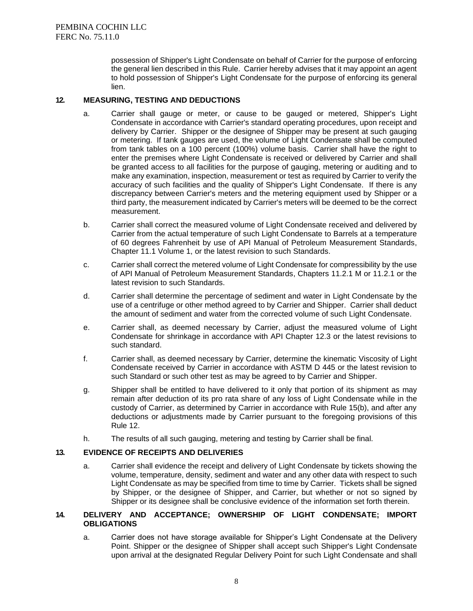possession of Shipper's Light Condensate on behalf of Carrier for the purpose of enforcing the general lien described in this Rule. Carrier hereby advises that it may appoint an agent to hold possession of Shipper's Light Condensate for the purpose of enforcing its general lien.

#### **12. MEASURING, TESTING AND DEDUCTIONS**

- a. Carrier shall gauge or meter, or cause to be gauged or metered, Shipper's Light Condensate in accordance with Carrier's standard operating procedures, upon receipt and delivery by Carrier. Shipper or the designee of Shipper may be present at such gauging or metering. If tank gauges are used, the volume of Light Condensate shall be computed from tank tables on a 100 percent (100%) volume basis. Carrier shall have the right to enter the premises where Light Condensate is received or delivered by Carrier and shall be granted access to all facilities for the purpose of gauging, metering or auditing and to make any examination, inspection, measurement or test as required by Carrier to verify the accuracy of such facilities and the quality of Shipper's Light Condensate. If there is any discrepancy between Carrier's meters and the metering equipment used by Shipper or a third party, the measurement indicated by Carrier's meters will be deemed to be the correct measurement.
- b. Carrier shall correct the measured volume of Light Condensate received and delivered by Carrier from the actual temperature of such Light Condensate to Barrels at a temperature of 60 degrees Fahrenheit by use of API Manual of Petroleum Measurement Standards, Chapter 11.1 Volume 1, or the latest revision to such Standards.
- c. Carrier shall correct the metered volume of Light Condensate for compressibility by the use of API Manual of Petroleum Measurement Standards, Chapters 11.2.1 M or 11.2.1 or the latest revision to such Standards.
- d. Carrier shall determine the percentage of sediment and water in Light Condensate by the use of a centrifuge or other method agreed to by Carrier and Shipper. Carrier shall deduct the amount of sediment and water from the corrected volume of such Light Condensate.
- e. Carrier shall, as deemed necessary by Carrier, adjust the measured volume of Light Condensate for shrinkage in accordance with API Chapter 12.3 or the latest revisions to such standard.
- f. Carrier shall, as deemed necessary by Carrier, determine the kinematic Viscosity of Light Condensate received by Carrier in accordance with ASTM D 445 or the latest revision to such Standard or such other test as may be agreed to by Carrier and Shipper.
- g. Shipper shall be entitled to have delivered to it only that portion of its shipment as may remain after deduction of its pro rata share of any loss of Light Condensate while in the custody of Carrier, as determined by Carrier in accordance with Rule 15(b), and after any deductions or adjustments made by Carrier pursuant to the foregoing provisions of this Rule 12.
- h. The results of all such gauging, metering and testing by Carrier shall be final.

#### **13. EVIDENCE OF RECEIPTS AND DELIVERIES**

a. Carrier shall evidence the receipt and delivery of Light Condensate by tickets showing the volume, temperature, density, sediment and water and any other data with respect to such Light Condensate as may be specified from time to time by Carrier. Tickets shall be signed by Shipper, or the designee of Shipper, and Carrier, but whether or not so signed by Shipper or its designee shall be conclusive evidence of the information set forth therein.

#### **14. DELIVERY AND ACCEPTANCE; OWNERSHIP OF LIGHT CONDENSATE; IMPORT OBLIGATIONS**

a. Carrier does not have storage available for Shipper's Light Condensate at the Delivery Point. Shipper or the designee of Shipper shall accept such Shipper's Light Condensate upon arrival at the designated Regular Delivery Point for such Light Condensate and shall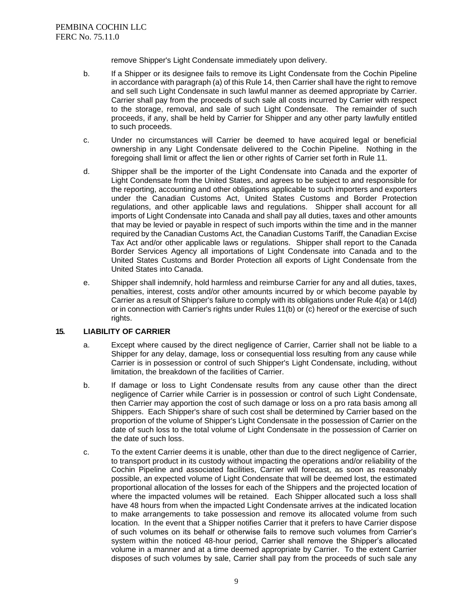remove Shipper's Light Condensate immediately upon delivery.

- b. If a Shipper or its designee fails to remove its Light Condensate from the Cochin Pipeline in accordance with paragraph (a) of this Rule 14, then Carrier shall have the right to remove and sell such Light Condensate in such lawful manner as deemed appropriate by Carrier. Carrier shall pay from the proceeds of such sale all costs incurred by Carrier with respect to the storage, removal, and sale of such Light Condensate. The remainder of such proceeds, if any, shall be held by Carrier for Shipper and any other party lawfully entitled to such proceeds.
- c. Under no circumstances will Carrier be deemed to have acquired legal or beneficial ownership in any Light Condensate delivered to the Cochin Pipeline. Nothing in the foregoing shall limit or affect the lien or other rights of Carrier set forth in Rule 11.
- d. Shipper shall be the importer of the Light Condensate into Canada and the exporter of Light Condensate from the United States, and agrees to be subject to and responsible for the reporting, accounting and other obligations applicable to such importers and exporters under the Canadian Customs Act, United States Customs and Border Protection regulations, and other applicable laws and regulations. Shipper shall account for all imports of Light Condensate into Canada and shall pay all duties, taxes and other amounts that may be levied or payable in respect of such imports within the time and in the manner required by the Canadian Customs Act, the Canadian Customs Tariff, the Canadian Excise Tax Act and/or other applicable laws or regulations. Shipper shall report to the Canada Border Services Agency all importations of Light Condensate into Canada and to the United States Customs and Border Protection all exports of Light Condensate from the United States into Canada.
- e. Shipper shall indemnify, hold harmless and reimburse Carrier for any and all duties, taxes, penalties, interest, costs and/or other amounts incurred by or which become payable by Carrier as a result of Shipper's failure to comply with its obligations under Rule 4(a) or 14(d) or in connection with Carrier's rights under Rules 11(b) or (c) hereof or the exercise of such rights.

#### **15. LIABILITY OF CARRIER**

- a. Except where caused by the direct negligence of Carrier, Carrier shall not be liable to a Shipper for any delay, damage, loss or consequential loss resulting from any cause while Carrier is in possession or control of such Shipper's Light Condensate, including, without limitation, the breakdown of the facilities of Carrier.
- b. If damage or loss to Light Condensate results from any cause other than the direct negligence of Carrier while Carrier is in possession or control of such Light Condensate, then Carrier may apportion the cost of such damage or loss on a pro rata basis among all Shippers. Each Shipper's share of such cost shall be determined by Carrier based on the proportion of the volume of Shipper's Light Condensate in the possession of Carrier on the date of such loss to the total volume of Light Condensate in the possession of Carrier on the date of such loss.
- c. To the extent Carrier deems it is unable, other than due to the direct negligence of Carrier, to transport product in its custody without impacting the operations and/or reliability of the Cochin Pipeline and associated facilities, Carrier will forecast, as soon as reasonably possible, an expected volume of Light Condensate that will be deemed lost, the estimated proportional allocation of the losses for each of the Shippers and the projected location of where the impacted volumes will be retained. Each Shipper allocated such a loss shall have 48 hours from when the impacted Light Condensate arrives at the indicated location to make arrangements to take possession and remove its allocated volume from such location. In the event that a Shipper notifies Carrier that it prefers to have Carrier dispose of such volumes on its behalf or otherwise fails to remove such volumes from Carrier's system within the noticed 48-hour period, Carrier shall remove the Shipper's allocated volume in a manner and at a time deemed appropriate by Carrier. To the extent Carrier disposes of such volumes by sale, Carrier shall pay from the proceeds of such sale any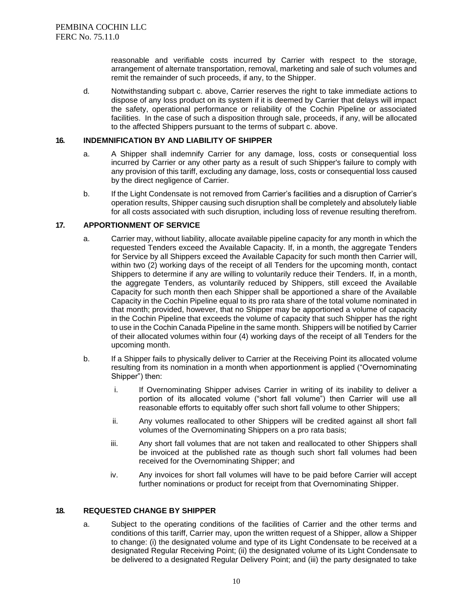reasonable and verifiable costs incurred by Carrier with respect to the storage, arrangement of alternate transportation, removal, marketing and sale of such volumes and remit the remainder of such proceeds, if any, to the Shipper.

d. Notwithstanding subpart c. above, Carrier reserves the right to take immediate actions to dispose of any loss product on its system if it is deemed by Carrier that delays will impact the safety, operational performance or reliability of the Cochin Pipeline or associated facilities. In the case of such a disposition through sale, proceeds, if any, will be allocated to the affected Shippers pursuant to the terms of subpart c. above.

#### **16. INDEMNIFICATION BY AND LIABILITY OF SHIPPER**

- a. A Shipper shall indemnify Carrier for any damage, loss, costs or consequential loss incurred by Carrier or any other party as a result of such Shipper's failure to comply with any provision of this tariff, excluding any damage, loss, costs or consequential loss caused by the direct negligence of Carrier.
- b. If the Light Condensate is not removed from Carrier's facilities and a disruption of Carrier's operation results, Shipper causing such disruption shall be completely and absolutely liable for all costs associated with such disruption, including loss of revenue resulting therefrom.

#### **17. APPORTIONMENT OF SERVICE**

- a. Carrier may, without liability, allocate available pipeline capacity for any month in which the requested Tenders exceed the Available Capacity. If, in a month, the aggregate Tenders for Service by all Shippers exceed the Available Capacity for such month then Carrier will, within two (2) working days of the receipt of all Tenders for the upcoming month, contact Shippers to determine if any are willing to voluntarily reduce their Tenders. If, in a month, the aggregate Tenders, as voluntarily reduced by Shippers, still exceed the Available Capacity for such month then each Shipper shall be apportioned a share of the Available Capacity in the Cochin Pipeline equal to its pro rata share of the total volume nominated in that month; provided, however, that no Shipper may be apportioned a volume of capacity in the Cochin Pipeline that exceeds the volume of capacity that such Shipper has the right to use in the Cochin Canada Pipeline in the same month. Shippers will be notified by Carrier of their allocated volumes within four (4) working days of the receipt of all Tenders for the upcoming month.
- b. If a Shipper fails to physically deliver to Carrier at the Receiving Point its allocated volume resulting from its nomination in a month when apportionment is applied ("Overnominating Shipper") then:
	- i. If Overnominating Shipper advises Carrier in writing of its inability to deliver a portion of its allocated volume ("short fall volume") then Carrier will use all reasonable efforts to equitably offer such short fall volume to other Shippers;
	- ii. Any volumes reallocated to other Shippers will be credited against all short fall volumes of the Overnominating Shippers on a pro rata basis;
	- iii. Any short fall volumes that are not taken and reallocated to other Shippers shall be invoiced at the published rate as though such short fall volumes had been received for the Overnominating Shipper; and
	- iv. Any invoices for short fall volumes will have to be paid before Carrier will accept further nominations or product for receipt from that Overnominating Shipper.

#### **18. REQUESTED CHANGE BY SHIPPER**

a. Subject to the operating conditions of the facilities of Carrier and the other terms and conditions of this tariff, Carrier may, upon the written request of a Shipper, allow a Shipper to change: (i) the designated volume and type of its Light Condensate to be received at a designated Regular Receiving Point; (ii) the designated volume of its Light Condensate to be delivered to a designated Regular Delivery Point; and (iii) the party designated to take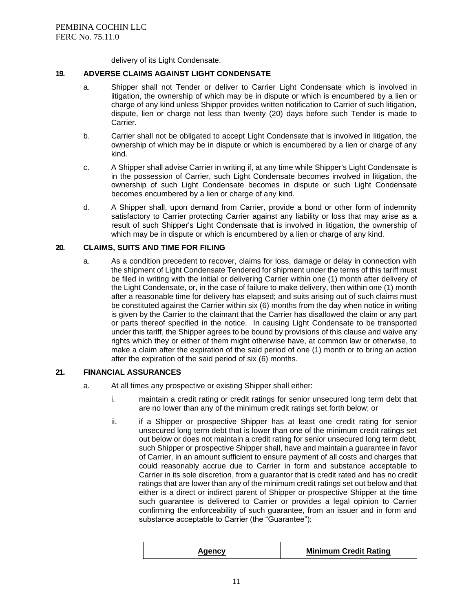delivery of its Light Condensate.

#### **19. ADVERSE CLAIMS AGAINST LIGHT CONDENSATE**

- a. Shipper shall not Tender or deliver to Carrier Light Condensate which is involved in litigation, the ownership of which may be in dispute or which is encumbered by a lien or charge of any kind unless Shipper provides written notification to Carrier of such litigation, dispute, lien or charge not less than twenty (20) days before such Tender is made to Carrier.
- b. Carrier shall not be obligated to accept Light Condensate that is involved in litigation, the ownership of which may be in dispute or which is encumbered by a lien or charge of any kind.
- c. A Shipper shall advise Carrier in writing if, at any time while Shipper's Light Condensate is in the possession of Carrier, such Light Condensate becomes involved in litigation, the ownership of such Light Condensate becomes in dispute or such Light Condensate becomes encumbered by a lien or charge of any kind.
- d. A Shipper shall, upon demand from Carrier, provide a bond or other form of indemnity satisfactory to Carrier protecting Carrier against any liability or loss that may arise as a result of such Shipper's Light Condensate that is involved in litigation, the ownership of which may be in dispute or which is encumbered by a lien or charge of any kind.

#### **20. CLAIMS, SUITS AND TIME FOR FILING**

a. As a condition precedent to recover, claims for loss, damage or delay in connection with the shipment of Light Condensate Tendered for shipment under the terms of this tariff must be filed in writing with the initial or delivering Carrier within one (1) month after delivery of the Light Condensate, or, in the case of failure to make delivery, then within one (1) month after a reasonable time for delivery has elapsed; and suits arising out of such claims must be constituted against the Carrier within six (6) months from the day when notice in writing is given by the Carrier to the claimant that the Carrier has disallowed the claim or any part or parts thereof specified in the notice. In causing Light Condensate to be transported under this tariff, the Shipper agrees to be bound by provisions of this clause and waive any rights which they or either of them might otherwise have, at common law or otherwise, to make a claim after the expiration of the said period of one (1) month or to bring an action after the expiration of the said period of six (6) months.

#### **21. FINANCIAL ASSURANCES**

- a. At all times any prospective or existing Shipper shall either:
	- i. maintain a credit rating or credit ratings for senior unsecured long term debt that are no lower than any of the minimum credit ratings set forth below; or
	- ii. if a Shipper or prospective Shipper has at least one credit rating for senior unsecured long term debt that is lower than one of the minimum credit ratings set out below or does not maintain a credit rating for senior unsecured long term debt, such Shipper or prospective Shipper shall, have and maintain a guarantee in favor of Carrier, in an amount sufficient to ensure payment of all costs and charges that could reasonably accrue due to Carrier in form and substance acceptable to Carrier in its sole discretion, from a guarantor that is credit rated and has no credit ratings that are lower than any of the minimum credit ratings set out below and that either is a direct or indirect parent of Shipper or prospective Shipper at the time such guarantee is delivered to Carrier or provides a legal opinion to Carrier confirming the enforceability of such guarantee, from an issuer and in form and substance acceptable to Carrier (the "Guarantee"):

| Aqencv | <b>Minimum Credit Rating</b> |
|--------|------------------------------|
|--------|------------------------------|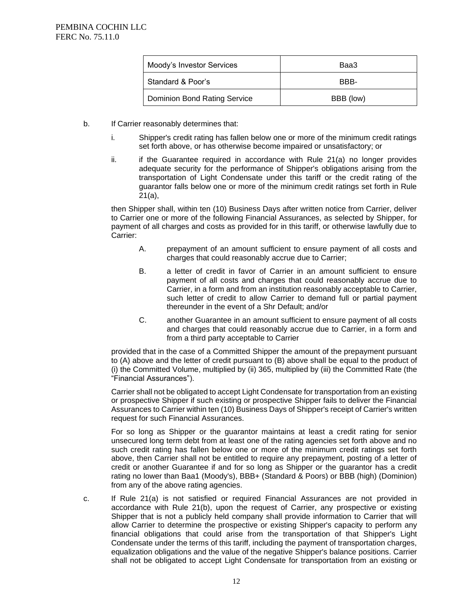| Moody's Investor Services           | Baa3      |
|-------------------------------------|-----------|
| Standard & Poor's                   | RRR-      |
| <b>Dominion Bond Rating Service</b> | BBB (low) |

- b. If Carrier reasonably determines that:
	- i. Shipper's credit rating has fallen below one or more of the minimum credit ratings set forth above, or has otherwise become impaired or unsatisfactory; or
	- $ii.$  if the Guarantee required in accordance with Rule 21(a) no longer provides adequate security for the performance of Shipper's obligations arising from the transportation of Light Condensate under this tariff or the credit rating of the guarantor falls below one or more of the minimum credit ratings set forth in Rule 21(a),

then Shipper shall, within ten (10) Business Days after written notice from Carrier, deliver to Carrier one or more of the following Financial Assurances, as selected by Shipper, for payment of all charges and costs as provided for in this tariff, or otherwise lawfully due to Carrier:

- A. prepayment of an amount sufficient to ensure payment of all costs and charges that could reasonably accrue due to Carrier;
- B. a letter of credit in favor of Carrier in an amount sufficient to ensure payment of all costs and charges that could reasonably accrue due to Carrier, in a form and from an institution reasonably acceptable to Carrier, such letter of credit to allow Carrier to demand full or partial payment thereunder in the event of a Shr Default; and/or
- C. another Guarantee in an amount sufficient to ensure payment of all costs and charges that could reasonably accrue due to Carrier, in a form and from a third party acceptable to Carrier

provided that in the case of a Committed Shipper the amount of the prepayment pursuant to (A) above and the letter of credit pursuant to (B) above shall be equal to the product of (i) the Committed Volume, multiplied by (ii) 365, multiplied by (iii) the Committed Rate (the "Financial Assurances").

Carrier shall not be obligated to accept Light Condensate for transportation from an existing or prospective Shipper if such existing or prospective Shipper fails to deliver the Financial Assurances to Carrier within ten (10) Business Days of Shipper's receipt of Carrier's written request for such Financial Assurances.

For so long as Shipper or the guarantor maintains at least a credit rating for senior unsecured long term debt from at least one of the rating agencies set forth above and no such credit rating has fallen below one or more of the minimum credit ratings set forth above, then Carrier shall not be entitled to require any prepayment, posting of a letter of credit or another Guarantee if and for so long as Shipper or the guarantor has a credit rating no lower than Baa1 (Moody's), BBB+ (Standard & Poors) or BBB (high) (Dominion) from any of the above rating agencies.

c. If Rule 21(a) is not satisfied or required Financial Assurances are not provided in accordance with Rule 21(b), upon the request of Carrier, any prospective or existing Shipper that is not a publicly held company shall provide information to Carrier that will allow Carrier to determine the prospective or existing Shipper's capacity to perform any financial obligations that could arise from the transportation of that Shipper's Light Condensate under the terms of this tariff, including the payment of transportation charges, equalization obligations and the value of the negative Shipper's balance positions. Carrier shall not be obligated to accept Light Condensate for transportation from an existing or